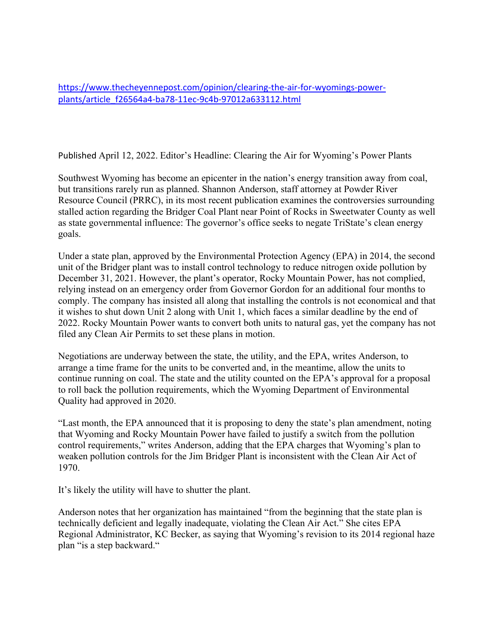https://www.thecheyennepost.com/opinion/clearing-the-air-for-wyomings-powerplants/article\_f26564a4-ba78-11ec-9c4b-97012a633112.html

Published April 12, 2022. Editor's Headline: Clearing the Air for Wyoming's Power Plants

Southwest Wyoming has become an epicenter in the nation's energy transition away from coal, but transitions rarely run as planned. Shannon Anderson, staff attorney at Powder River Resource Council (PRRC), in its most recent publication examines the controversies surrounding stalled action regarding the Bridger Coal Plant near Point of Rocks in Sweetwater County as well as state governmental influence: The governor's office seeks to negate TriState's clean energy goals.

Under a state plan, approved by the Environmental Protection Agency (EPA) in 2014, the second unit of the Bridger plant was to install control technology to reduce nitrogen oxide pollution by December 31, 2021. However, the plant's operator, Rocky Mountain Power, has not complied, relying instead on an emergency order from Governor Gordon for an additional four months to comply. The company has insisted all along that installing the controls is not economical and that it wishes to shut down Unit 2 along with Unit 1, which faces a similar deadline by the end of 2022. Rocky Mountain Power wants to convert both units to natural gas, yet the company has not filed any Clean Air Permits to set these plans in motion.

Negotiations are underway between the state, the utility, and the EPA, writes Anderson, to arrange a time frame for the units to be converted and, in the meantime, allow the units to continue running on coal. The state and the utility counted on the EPA's approval for a proposal to roll back the pollution requirements, which the Wyoming Department of Environmental Quality had approved in 2020.

"Last month, the EPA announced that it is proposing to deny the state's plan amendment, noting that Wyoming and Rocky Mountain Power have failed to justify a switch from the pollution control requirements," writes Anderson, adding that the EPA charges that Wyoming's plan to weaken pollution controls for the Jim Bridger Plant is inconsistent with the Clean Air Act of 1970.

It's likely the utility will have to shutter the plant.

Anderson notes that her organization has maintained "from the beginning that the state plan is technically deficient and legally inadequate, violating the Clean Air Act." She cites EPA Regional Administrator, KC Becker, as saying that Wyoming's revision to its 2014 regional haze plan "is a step backward."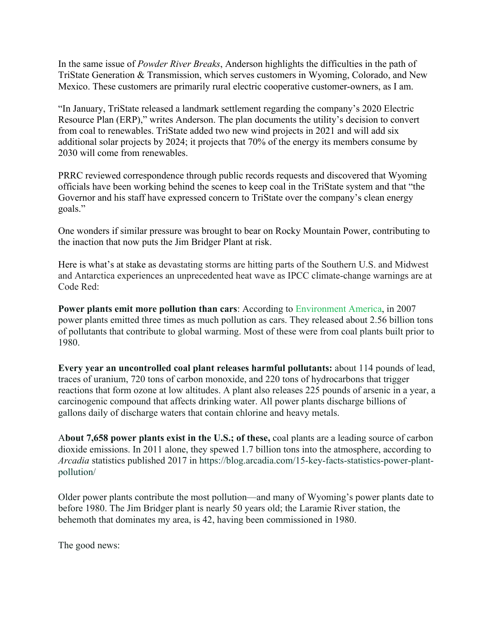In the same issue of *Powder River Breaks*, Anderson highlights the difficulties in the path of TriState Generation & Transmission, which serves customers in Wyoming, Colorado, and New Mexico. These customers are primarily rural electric cooperative customer-owners, as I am.

"In January, TriState released a landmark settlement regarding the company's 2020 Electric Resource Plan (ERP)," writes Anderson. The plan documents the utility's decision to convert from coal to renewables. TriState added two new wind projects in 2021 and will add six additional solar projects by 2024; it projects that 70% of the energy its members consume by 2030 will come from renewables.

PRRC reviewed correspondence through public records requests and discovered that Wyoming officials have been working behind the scenes to keep coal in the TriState system and that "the Governor and his staff have expressed concern to TriState over the company's clean energy goals."

One wonders if similar pressure was brought to bear on Rocky Mountain Power, contributing to the inaction that now puts the Jim Bridger Plant at risk.

Here is what's at stake as devastating storms are hitting parts of the Southern U.S. and Midwest and Antarctica experiences an unprecedented heat wave as IPCC climate-change warnings are at Code Red:

**Power plants emit more pollution than cars**: According to Environment America, in 2007 power plants emitted three times as much pollution as cars. They released about 2.56 billion tons of pollutants that contribute to global warming. Most of these were from coal plants built prior to 1980.

**Every year an uncontrolled coal plant releases harmful pollutants:** about 114 pounds of lead, traces of uranium, 720 tons of carbon monoxide, and 220 tons of hydrocarbons that trigger reactions that form ozone at low altitudes. A plant also releases 225 pounds of arsenic in a year, a carcinogenic compound that affects drinking water. All power plants discharge billions of gallons daily of discharge waters that contain chlorine and heavy metals.

A**bout 7,658 power plants exist in the U.S.; of these,** coal plants are a leading source of carbon dioxide emissions. In 2011 alone, they spewed 1.7 billion tons into the atmosphere, according to *Arcadia* statistics published 2017 in https://blog.arcadia.com/15-key-facts-statistics-power-plantpollution/

Older power plants contribute the most pollution—and many of Wyoming's power plants date to before 1980. The Jim Bridger plant is nearly 50 years old; the Laramie River station, the behemoth that dominates my area, is 42, having been commissioned in 1980.

The good news: